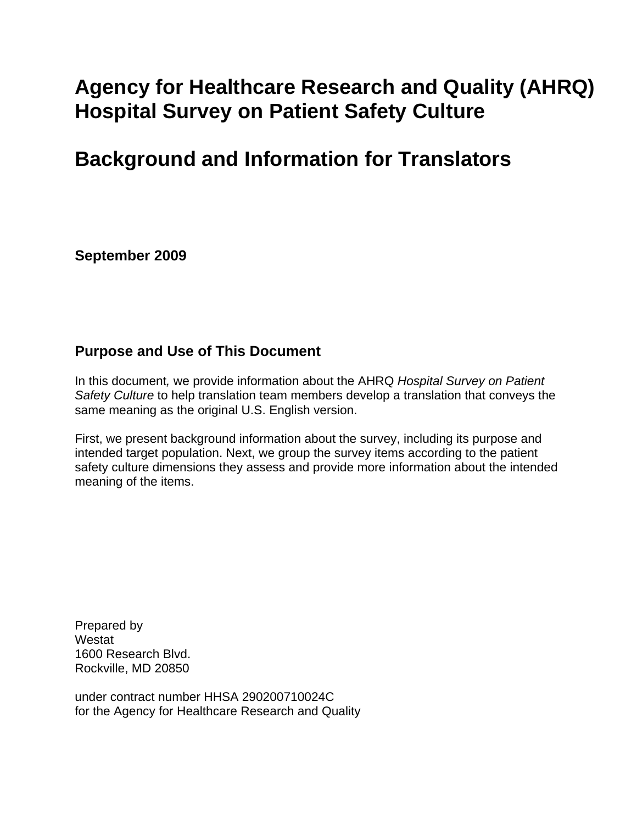# **Agency for Healthcare Research and Quality (AHRQ) Hospital Survey on Patient Safety Culture**

# **Background and Information for Translators**

**September 2009** 

### **Purpose and Use of This Document**

In this document*,* we provide information about the AHRQ *Hospital Survey on Patient Safety Culture* to help translation team members develop a translation that conveys the same meaning as the original U.S. English version.

First, we present background information about the survey, including its purpose and intended target population. Next, we group the survey items according to the patient safety culture dimensions they assess and provide more information about the intended meaning of the items.

Prepared by **Westat** 1600 Research Blvd. Rockville, MD 20850

under contract number HHSA 290200710024C for the Agency for Healthcare Research and Quality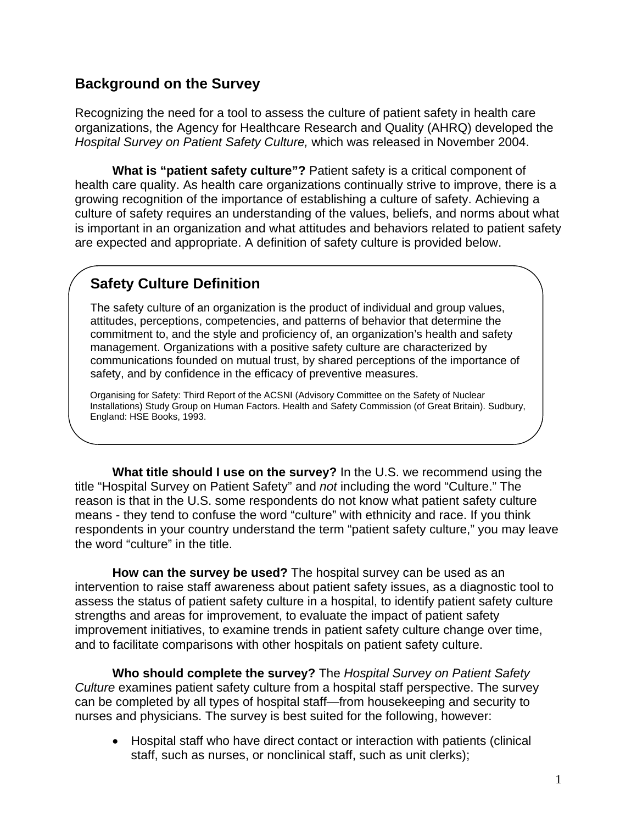### **Background on the Survey**

Recognizing the need for a tool to assess the culture of patient safety in health care organizations, the Agency for Healthcare Research and Quality (AHRQ) developed the *Hospital Survey on Patient Safety Culture,* which was released in November 2004.

**What is "patient safety culture"?** Patient safety is a critical component of health care quality. As health care organizations continually strive to improve, there is a growing recognition of the importance of establishing a culture of safety. Achieving a culture of safety requires an understanding of the values, beliefs, and norms about what is important in an organization and what attitudes and behaviors related to patient safety are expected and appropriate. A definition of safety culture is provided below.

## **Safety Culture Definition**

The safety culture of an organization is the product of individual and group values, attitudes, perceptions, competencies, and patterns of behavior that determine the commitment to, and the style and proficiency of, an organization's health and safety management. Organizations with a positive safety culture are characterized by communications founded on mutual trust, by shared perceptions of the importance of safety, and by confidence in the efficacy of preventive measures.

Organising for Safety: Third Report of the ACSNI (Advisory Committee on the Safety of Nuclear Installations) Study Group on Human Factors. Health and Safety Commission (of Great Britain). Sudbury, England: HSE Books, 1993.

**What title should I use on the survey?** In the U.S. we recommend using the title "Hospital Survey on Patient Safety" and *not* including the word "Culture." The reason is that in the U.S. some respondents do not know what patient safety culture means - they tend to confuse the word "culture" with ethnicity and race. If you think respondents in your country understand the term "patient safety culture," you may leave the word "culture" in the title.

**How can the survey be used?** The hospital survey can be used as an intervention to raise staff awareness about patient safety issues, as a diagnostic tool to assess the status of patient safety culture in a hospital, to identify patient safety culture strengths and areas for improvement, to evaluate the impact of patient safety improvement initiatives, to examine trends in patient safety culture change over time, and to facilitate comparisons with other hospitals on patient safety culture.

 **Who should complete the survey?** The *Hospital Survey on Patient Safety Culture* examines patient safety culture from a hospital staff perspective. The survey can be completed by all types of hospital staff—from housekeeping and security to nurses and physicians. The survey is best suited for the following, however:

• Hospital staff who have direct contact or interaction with patients (clinical staff, such as nurses, or nonclinical staff, such as unit clerks);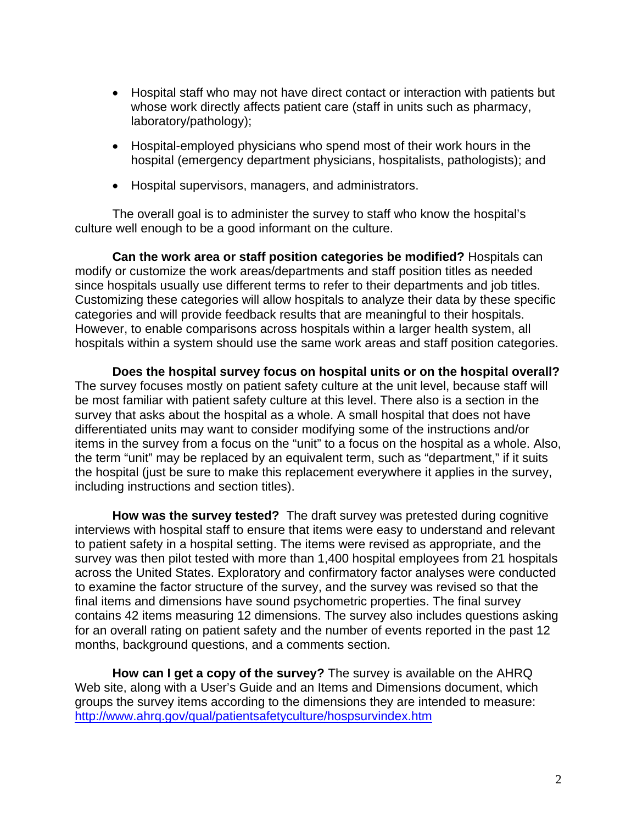- Hospital staff who may not have direct contact or interaction with patients but whose work directly affects patient care (staff in units such as pharmacy, laboratory/pathology);
- Hospital-employed physicians who spend most of their work hours in the hospital (emergency department physicians, hospitalists, pathologists); and
- Hospital supervisors, managers, and administrators.

 The overall goal is to administer the survey to staff who know the hospital's culture well enough to be a good informant on the culture.

**Can the work area or staff position categories be modified?** Hospitals can modify or customize the work areas/departments and staff position titles as needed since hospitals usually use different terms to refer to their departments and job titles. Customizing these categories will allow hospitals to analyze their data by these specific categories and will provide feedback results that are meaningful to their hospitals. However, to enable comparisons across hospitals within a larger health system, all hospitals within a system should use the same work areas and staff position categories.

**Does the hospital survey focus on hospital units or on the hospital overall?**  The survey focuses mostly on patient safety culture at the unit level, because staff will be most familiar with patient safety culture at this level. There also is a section in the survey that asks about the hospital as a whole. A small hospital that does not have differentiated units may want to consider modifying some of the instructions and/or items in the survey from a focus on the "unit" to a focus on the hospital as a whole. Also, the term "unit" may be replaced by an equivalent term, such as "department," if it suits the hospital (just be sure to make this replacement everywhere it applies in the survey, including instructions and section titles).

**How was the survey tested?** The draft survey was pretested during cognitive interviews with hospital staff to ensure that items were easy to understand and relevant to patient safety in a hospital setting. The items were revised as appropriate, and the survey was then pilot tested with more than 1,400 hospital employees from 21 hospitals across the United States. Exploratory and confirmatory factor analyses were conducted to examine the factor structure of the survey, and the survey was revised so that the final items and dimensions have sound psychometric properties. The final survey contains 42 items measuring 12 dimensions. The survey also includes questions asking for an overall rating on patient safety and the number of events reported in the past 12 months, background questions, and a comments section.

**How can I get a copy of the survey?** The survey is available on the AHRQ Web site, along with a User's Guide and an Items and Dimensions document, which groups the survey items according to the dimensions they are intended to measure: <http://www.ahrq.gov/qual/patientsafetyculture/hospsurvindex.htm>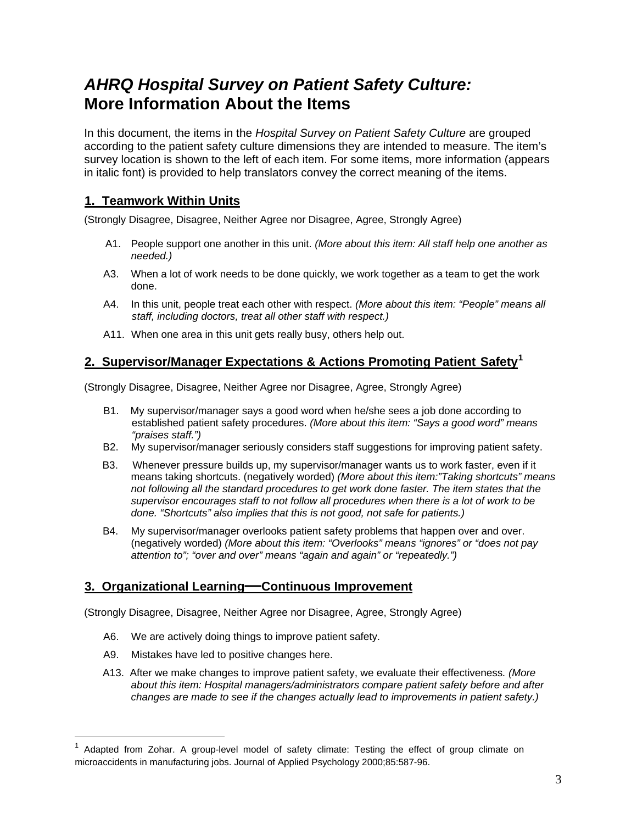## *AHRQ Hospital Survey on Patient Safety Culture:* **More Information About the Items**

In this document, the items in the *Hospital Survey on Patient Safety Culture* are grouped according to the patient safety culture dimensions they are intended to measure. The item's survey location is shown to the left of each item. For some items, more information (appears in italic font) is provided to help translators convey the correct meaning of the items.

#### **1. Teamwork Within Units**

(Strongly Disagree, Disagree, Neither Agree nor Disagree, Agree, Strongly Agree)

- A1. People support one another in this unit. *(More about this item: All staff help one another as needed.)*
- A3. When a lot of work needs to be done quickly, we work together as a team to get the work done.
- A4. In this unit, people treat each other with respect. *(More about this item: "People" means all staff, including doctors, treat all other staff with respect.)*
- A11. When one area in this unit gets really busy, others help out.

#### **2. Supervisor/Manager Expectations & Actions Promoting Patient Safety[1](#page-3-0)**

(Strongly Disagree, Disagree, Neither Agree nor Disagree, Agree, Strongly Agree)

- B1. My supervisor/manager says a good word when he/she sees a job done according to established patient safety procedures. *(More about this item: "Says a good word" means "praises staff.")*
- B2. My supervisor/manager seriously considers staff suggestions for improving patient safety.
- B3. Whenever pressure builds up, my supervisor/manager wants us to work faster, even if it means taking shortcuts. (negatively worded) *(More about this item:"Taking shortcuts" means not following all the standard procedures to get work done faster. The item states that the supervisor encourages staff to not follow all procedures when there is a lot of work to be done. "Shortcuts" also implies that this is not good, not safe for patients.)*
- B4. My supervisor/manager overlooks patient safety problems that happen over and over. (negatively worded) *(More about this item: "Overlooks" means "ignores" or "does not pay attention to"; "over and over" means "again and again" or "repeatedly.")*

#### **3. Organizational Learning—Continuous Improvement**

(Strongly Disagree, Disagree, Neither Agree nor Disagree, Agree, Strongly Agree)

- A6. We are actively doing things to improve patient safety.
- A9. Mistakes have led to positive changes here.

 $\overline{a}$ 

 A13. After we make changes to improve patient safety, we evaluate their effectiveness*. (More about this item: Hospital managers/administrators compare patient safety before and after changes are made to see if the changes actually lead to improvements in patient safety.)* 

<span id="page-3-0"></span>Adapted from Zohar. A group-level model of safety climate: Testing the effect of group climate on microaccidents in manufacturing jobs. Journal of Applied Psychology 2000;85:587-96.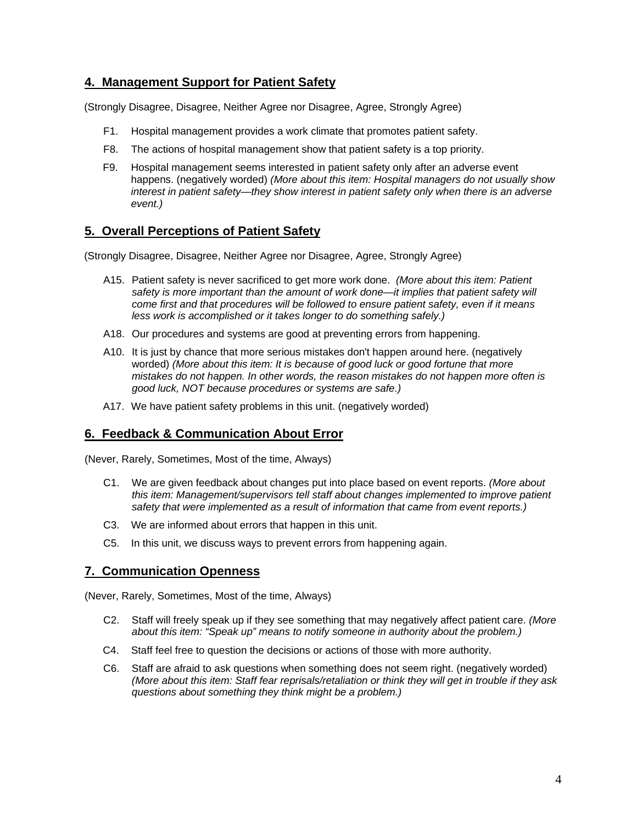#### **4. Management Support for Patient Safety**

(Strongly Disagree, Disagree, Neither Agree nor Disagree, Agree, Strongly Agree)

- F1. Hospital management provides a work climate that promotes patient safety.
- F8. The actions of hospital management show that patient safety is a top priority.
- F9. Hospital management seems interested in patient safety only after an adverse event happens. (negatively worded) *(More about this item: Hospital managers do not usually show interest in patient safety—they show interest in patient safety only when there is an adverse event.)*

#### **5. Overall Perceptions of Patient Safety**

(Strongly Disagree, Disagree, Neither Agree nor Disagree, Agree, Strongly Agree)

- A15. Patient safety is never sacrificed to get more work done. *(More about this item: Patient safety is more important than the amount of work done—it implies that patient safety will come first and that procedures will be followed to ensure patient safety, even if it means less work is accomplished or it takes longer to do something safely.)*
- A18. Our procedures and systems are good at preventing errors from happening.
- A10. It is just by chance that more serious mistakes don't happen around here. (negatively worded) *(More about this item: It is because of good luck or good fortune that more mistakes do not happen. In other words, the reason mistakes do not happen more often is good luck, NOT because procedures or systems are safe.)*
- A17. We have patient safety problems in this unit. (negatively worded)

#### **6. Feedback & Communication About Error**

(Never, Rarely, Sometimes, Most of the time, Always)

- C1. We are given feedback about changes put into place based on event reports. *(More about this item: Management/supervisors tell staff about changes implemented to improve patient safety that were implemented as a result of information that came from event reports.)*
- C3. We are informed about errors that happen in this unit.
- C5. In this unit, we discuss ways to prevent errors from happening again.

#### **7. Communication Openness**

(Never, Rarely, Sometimes, Most of the time, Always)

- C2. Staff will freely speak up if they see something that may negatively affect patient care. *(More about this item: "Speak up" means to notify someone in authority about the problem.)*
- C4. Staff feel free to question the decisions or actions of those with more authority.
- C6. Staff are afraid to ask questions when something does not seem right. (negatively worded) *(More about this item: Staff fear reprisals/retaliation or think they will get in trouble if they ask questions about something they think might be a problem.)*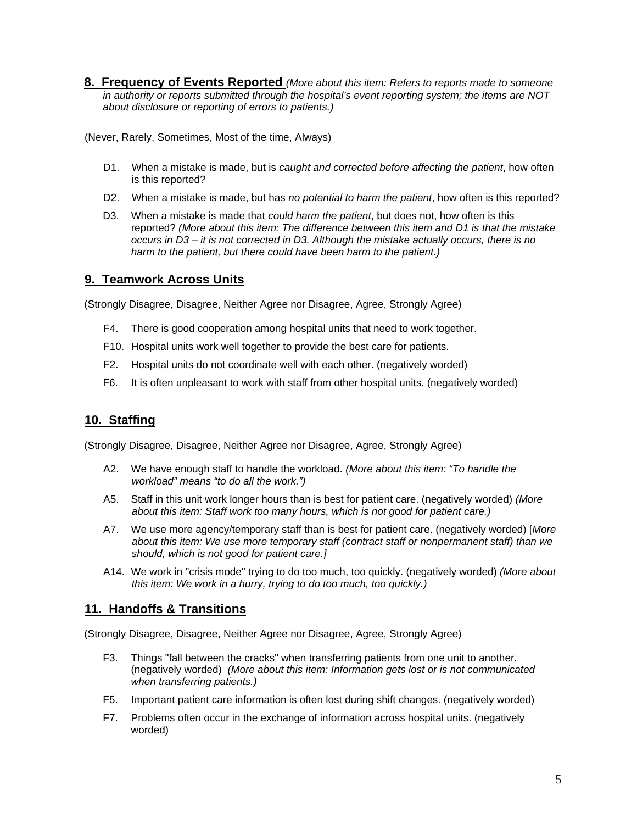**8. Frequency of Events Reported** *(More about this item: Refers to reports made to someone in authority or reports submitted through the hospital's event reporting system; the items are NOT about disclosure or reporting of errors to patients.)* 

(Never, Rarely, Sometimes, Most of the time, Always)

- D1. When a mistake is made, but is *caught and corrected before affecting the patient*, how often is this reported?
- D2. When a mistake is made, but has *no potential to harm the patient*, how often is this reported?
- D3. When a mistake is made that *could harm the patient*, but does not, how often is this reported? *(More about this item: The difference between this item and D1 is that the mistake occurs in D3 – it is not corrected in D3. Although the mistake actually occurs, there is no harm to the patient, but there could have been harm to the patient.)*

#### **9. Teamwork Across Units**

(Strongly Disagree, Disagree, Neither Agree nor Disagree, Agree, Strongly Agree)

- F4. There is good cooperation among hospital units that need to work together.
- F10. Hospital units work well together to provide the best care for patients.
- F2. Hospital units do not coordinate well with each other. (negatively worded)
- F6. It is often unpleasant to work with staff from other hospital units. (negatively worded)

#### **10. Staffing**

(Strongly Disagree, Disagree, Neither Agree nor Disagree, Agree, Strongly Agree)

- A2. We have enough staff to handle the workload. *(More about this item: "To handle the workload" means "to do all the work.")*
- A5. Staff in this unit work longer hours than is best for patient care. (negatively worded) *(More about this item: Staff work too many hours, which is not good for patient care.)*
- A7. We use more agency/temporary staff than is best for patient care. (negatively worded) [*More about this item: We use more temporary staff (contract staff or nonpermanent staff) than we should, which is not good for patient care.]*
- A14. We work in "crisis mode" trying to do too much, too quickly. (negatively worded) *(More about this item: We work in a hurry, trying to do too much, too quickly.)*

#### **11. Handoffs & Transitions**

(Strongly Disagree, Disagree, Neither Agree nor Disagree, Agree, Strongly Agree)

- F3. Things "fall between the cracks" when transferring patients from one unit to another. (negatively worded) *(More about this item: Information gets lost or is not communicated when transferring patients.)*
- F5. Important patient care information is often lost during shift changes. (negatively worded)
- F7. Problems often occur in the exchange of information across hospital units. (negatively worded)